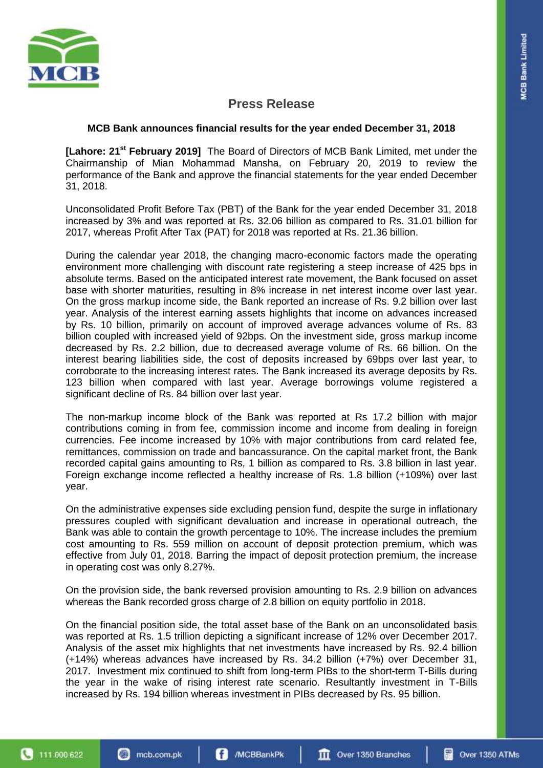

# **Press Release**

## **MCB Bank announces financial results for the year ended December 31, 2018**

**[Lahore: 21st February 2019]** The Board of Directors of MCB Bank Limited, met under the Chairmanship of Mian Mohammad Mansha, on February 20, 2019 to review the performance of the Bank and approve the financial statements for the year ended December 31, 2018.

Unconsolidated Profit Before Tax (PBT) of the Bank for the year ended December 31, 2018 increased by 3% and was reported at Rs. 32.06 billion as compared to Rs. 31.01 billion for 2017, whereas Profit After Tax (PAT) for 2018 was reported at Rs. 21.36 billion.

During the calendar year 2018, the changing macro-economic factors made the operating environment more challenging with discount rate registering a steep increase of 425 bps in absolute terms. Based on the anticipated interest rate movement, the Bank focused on asset base with shorter maturities, resulting in 8% increase in net interest income over last year. On the gross markup income side, the Bank reported an increase of Rs. 9.2 billion over last year. Analysis of the interest earning assets highlights that income on advances increased by Rs. 10 billion, primarily on account of improved average advances volume of Rs. 83 billion coupled with increased yield of 92bps. On the investment side, gross markup income decreased by Rs. 2.2 billion, due to decreased average volume of Rs. 66 billion. On the interest bearing liabilities side, the cost of deposits increased by 69bps over last year, to corroborate to the increasing interest rates. The Bank increased its average deposits by Rs. 123 billion when compared with last year. Average borrowings volume registered a significant decline of Rs. 84 billion over last year.

The non-markup income block of the Bank was reported at Rs 17.2 billion with major contributions coming in from fee, commission income and income from dealing in foreign currencies. Fee income increased by 10% with major contributions from card related fee, remittances, commission on trade and bancassurance. On the capital market front, the Bank recorded capital gains amounting to Rs, 1 billion as compared to Rs. 3.8 billion in last year. Foreign exchange income reflected a healthy increase of Rs. 1.8 billion (+109%) over last year.

On the administrative expenses side excluding pension fund, despite the surge in inflationary pressures coupled with significant devaluation and increase in operational outreach, the Bank was able to contain the growth percentage to 10%. The increase includes the premium cost amounting to Rs. 559 million on account of deposit protection premium, which was effective from July 01, 2018. Barring the impact of deposit protection premium, the increase in operating cost was only 8.27%.

On the provision side, the bank reversed provision amounting to Rs. 2.9 billion on advances whereas the Bank recorded gross charge of 2.8 billion on equity portfolio in 2018.

On the financial position side, the total asset base of the Bank on an unconsolidated basis was reported at Rs. 1.5 trillion depicting a significant increase of 12% over December 2017. Analysis of the asset mix highlights that net investments have increased by Rs. 92.4 billion (+14%) whereas advances have increased by Rs. 34.2 billion (+7%) over December 31, 2017. Investment mix continued to shift from long-term PIBs to the short-term T-Bills during the year in the wake of rising interest rate scenario. Resultantly investment in T-Bills increased by Rs. 194 billion whereas investment in PIBs decreased by Rs. 95 billion.